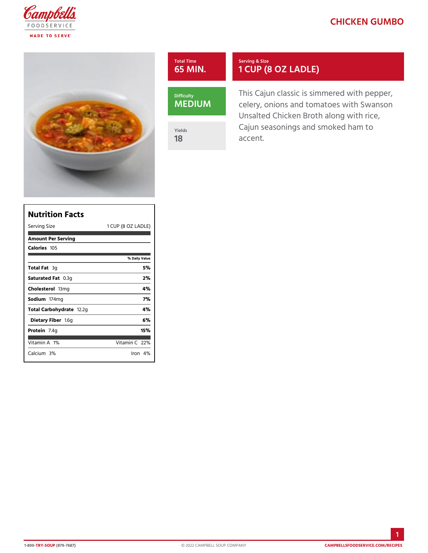# CHICKEN GUM

| Total Time           | Serving & Size                                                                                      |
|----------------------|-----------------------------------------------------------------------------------------------------|
| 65 MIN.              | 1 CUP (8 OZ LADLE)                                                                                  |
| Difficulty<br>MEDIUM | This Cajun classic is simmered<br>celery, onions and tomatoes wit<br>Unsalted Chicken Broth along w |
| Yields               | Cajun seasonings and smoked h                                                                       |
| 18                   | accent.                                                                                             |

| Nutrition Facts           |            |                |     |                     |
|---------------------------|------------|----------------|-----|---------------------|
| Serving Size              |            |                |     | 1 CUP (8 OZ  LADLE) |
| Amount Per Serving        |            |                |     |                     |
| Calorie1s05               |            |                |     |                     |
|                           |            | % Daily Vallue |     |                     |
| Total F3ag                |            |                | 5 % |                     |
| Saturated OF 38 tg        |            |                | 2%  |                     |
| Choleste folm g           |            |                | 4 % |                     |
| Sodium 74mg               |            |                | 7%  |                     |
| Total Carbohy'd2a2g       |            |                | 4 % |                     |
| Dietary F1ib6eg           |            |                | 6%  |                     |
| Protein.4g                |            |                | 15% |                     |
| Vitamin1A6                | Vitamin2Q% |                |     |                     |
| $C$ alcium <sup>30%</sup> |            | Iron $4\%$     |     |                     |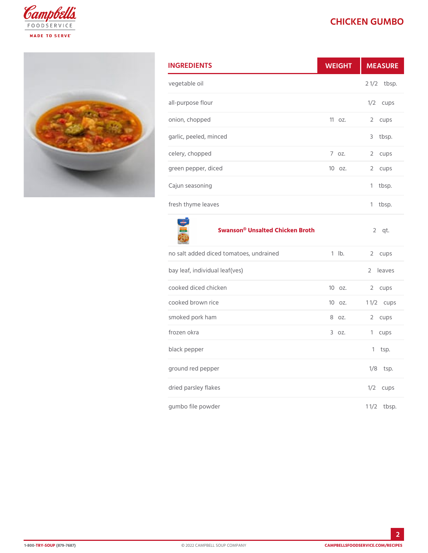## CHICKEN GUM

| <b>INGREDIENTS</b>     |          | WEIGH MEASU          |
|------------------------|----------|----------------------|
| vegetable oil          |          | $2 \frac{1}{2}$ bsp. |
| all-purpose flour      |          | $1/2$ cups           |
| onion, chopped         |          | 11oz. 2 cups         |
| garlic, peeled, minced |          | 3 tbsp.              |
| celery, chopped        | $7.0Z$ . | 2 cups               |
| green pepper, diced    |          | 10 oz. 2 cups        |
| Cajun seasoning        |          | $1$ tbsp.            |
| fresh thyme leaves     |          | tbsp.<br>1.          |

#### [Swanson® Unsalted C](https://www.campbellsfoodservice.com/product/unsalted-chicken-broth)hicken Broth 2 qt.

| no salt added diced tomatoes, undrailnebd. | 2 cups               |
|--------------------------------------------|----------------------|
| bay leaf, individual leaf(ves)             | 2 leaves             |
| cooked diced chicken                       | 10 oz. 2 cups        |
| cooked brown rice                          | 10 oz. 11/2ups       |
| smoked pork ham                            | 8 oz. 2 cups         |
| frozen okra                                | 3 oz. 1 cups         |
| black pepper                               | $1$ tsp.             |
| ground red pepper                          | $1/8$ tsp.           |
| dried parsley flakes                       | $1/2$ cups           |
| gumbo file powder                          | $1 \frac{1}{2}$ bsp. |